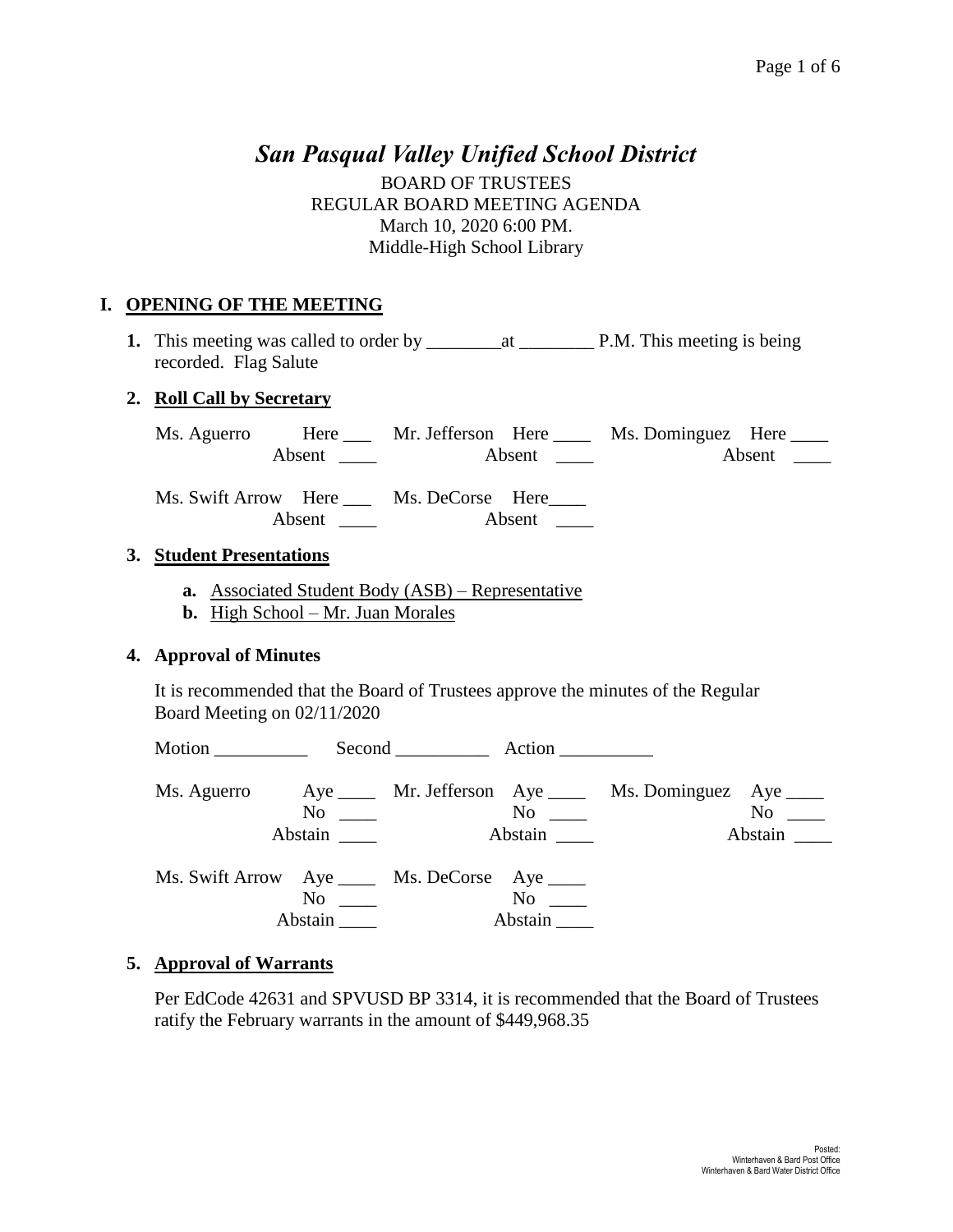# *San Pasqual Valley Unified School District*

BOARD OF TRUSTEES REGULAR BOARD MEETING AGENDA March 10, 2020 6:00 PM. Middle-High School Library

#### **I. OPENING OF THE MEETING**

**1.** This meeting was called to order by \_\_\_\_\_\_\_\_at \_\_\_\_\_\_\_\_ P.M. This meeting is being recorded. Flag Salute

#### **2. Roll Call by Secretary**

| Ms. Aguerro | Here   | Mr. Jefferson Here |        | Ms. Dominguez Here |        |
|-------------|--------|--------------------|--------|--------------------|--------|
|             | Absent |                    | Absent |                    | Absent |

Ms. Swift Arrow Here \_\_\_ Ms. DeCorse Here\_\_\_\_ Absent \_\_\_\_ Absent \_\_\_

#### **3. Student Presentations**

- **a.** Associated Student Body (ASB) Representative
- **b.** High School Mr. Juan Morales

#### **4. Approval of Minutes**

It is recommended that the Board of Trustees approve the minutes of the Regular Board Meeting on 02/11/2020

|                                                |                         | Second Action |                      |                                                                       |                      |
|------------------------------------------------|-------------------------|---------------|----------------------|-----------------------------------------------------------------------|----------------------|
|                                                | $\mathrm{No} \ \_\_\_\$ |               | Abstain              | Ms. Aguerro Aye _____ Mr. Jefferson Aye _____ Ms. Dominguez Aye _____ | $No \ \_$<br>Abstain |
| Ms. Swift Arrow Aye _____ Ms. DeCorse Aye ____ | No<br>Abstain           |               | $No \t —$<br>Abstain |                                                                       |                      |

#### **5. Approval of Warrants**

Per EdCode 42631 and SPVUSD BP 3314, it is recommended that the Board of Trustees ratify the February warrants in the amount of \$449,968.35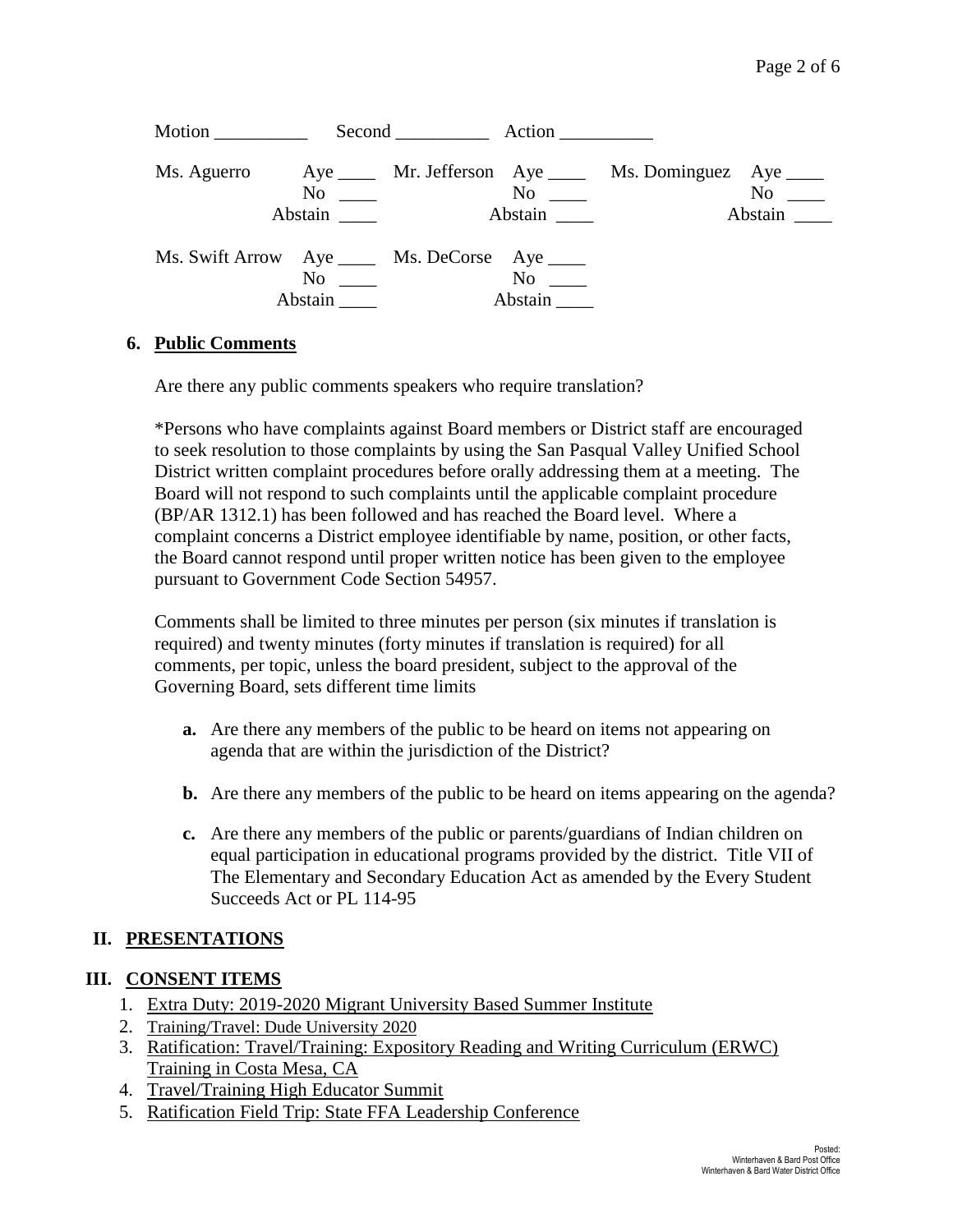| Motion                                         |                                    | Second Action |                                       |                                                           |                               |
|------------------------------------------------|------------------------------------|---------------|---------------------------------------|-----------------------------------------------------------|-------------------------------|
| Ms. Aguerro                                    | $\mathrm{No} \ \_\_\_\$<br>Abstain |               | $\mathrm{No} \ \_\_\_\$<br>Abstain __ | Aye _____ Mr. Jefferson Aye _____ Ms. Dominguez Aye _____ | $No \_\_$<br>Abstain $\qquad$ |
| Ms. Swift Arrow Aye _____ Ms. DeCorse Aye ____ | No<br>Abstain                      |               | No<br>Abstain                         |                                                           |                               |

#### **6. Public Comments**

Are there any public comments speakers who require translation?

\*Persons who have complaints against Board members or District staff are encouraged to seek resolution to those complaints by using the San Pasqual Valley Unified School District written complaint procedures before orally addressing them at a meeting. The Board will not respond to such complaints until the applicable complaint procedure (BP/AR 1312.1) has been followed and has reached the Board level. Where a complaint concerns a District employee identifiable by name, position, or other facts, the Board cannot respond until proper written notice has been given to the employee pursuant to Government Code Section 54957.

Comments shall be limited to three minutes per person (six minutes if translation is required) and twenty minutes (forty minutes if translation is required) for all comments, per topic, unless the board president, subject to the approval of the Governing Board, sets different time limits

- **a.** Are there any members of the public to be heard on items not appearing on agenda that are within the jurisdiction of the District?
- **b.** Are there any members of the public to be heard on items appearing on the agenda?
- **c.** Are there any members of the public or parents/guardians of Indian children on equal participation in educational programs provided by the district. Title VII of The Elementary and Secondary Education Act as amended by the Every Student Succeeds Act or PL 114-95

#### **II. PRESENTATIONS**

#### **III. CONSENT ITEMS**

- 1. Extra Duty: 2019-2020 Migrant University Based Summer Institute
- 2. Training/Travel: Dude University 2020
- 3. Ratification: Travel/Training: Expository Reading and Writing Curriculum (ERWC) Training in Costa Mesa, CA
- 4. Travel/Training High Educator Summit
- 5. Ratification Field Trip: State FFA Leadership Conference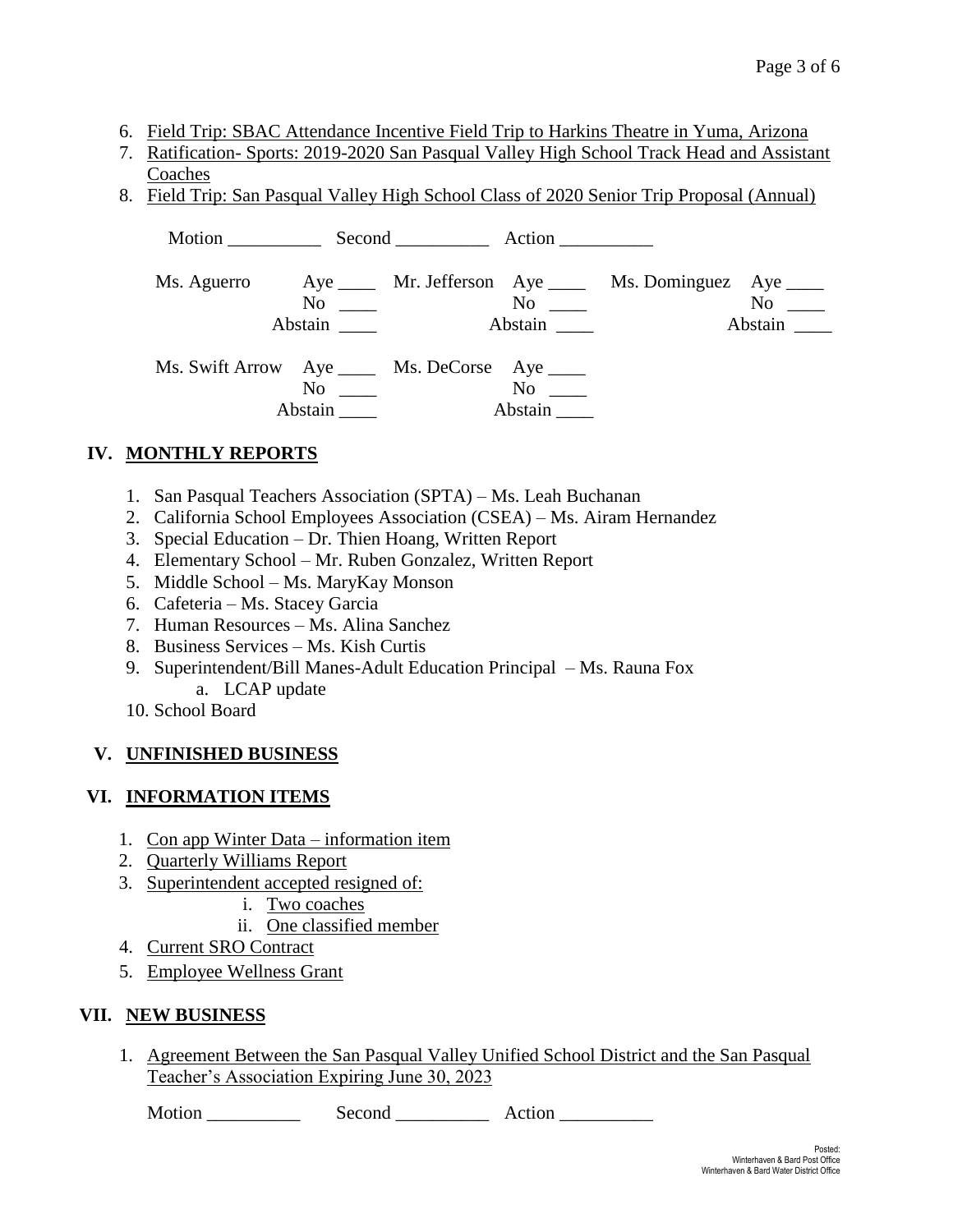- 6. Field Trip: SBAC Attendance Incentive Field Trip to Harkins Theatre in Yuma, Arizona
- 7. Ratification- Sports: 2019-2020 San Pasqual Valley High School Track Head and Assistant Coaches
- 8. Field Trip: San Pasqual Valley High School Class of 2020 Senior Trip Proposal (Annual)

|             |                                                                                   | Motion Second Action                |                                                         |                                        |  |
|-------------|-----------------------------------------------------------------------------------|-------------------------------------|---------------------------------------------------------|----------------------------------------|--|
| Ms. Aguerro | $No \ \_$<br>Abstain                                                              | $\mathrm{No}$ $\_\_$<br>Abstain ___ | Aye _____ Mr. Jefferson Aye ____ Ms. Dominguez Aye ____ | No<br>Abstain $\overline{\phantom{a}}$ |  |
|             | Ms. Swift Arrow Aye _____ Ms. DeCorse Aye ____<br>$\mathrm{No}$ $\_\_$<br>Abstain | $No \_\_$<br>Abstain                |                                                         |                                        |  |

### **IV. MONTHLY REPORTS**

- 1. San Pasqual Teachers Association (SPTA) Ms. Leah Buchanan
- 2. California School Employees Association (CSEA) Ms. Airam Hernandez
- 3. Special Education Dr. Thien Hoang, Written Report
- 4. Elementary School Mr. Ruben Gonzalez, Written Report
- 5. Middle School Ms. MaryKay Monson
- 6. Cafeteria Ms. Stacey Garcia
- 7. Human Resources Ms. Alina Sanchez
- 8. Business Services Ms. Kish Curtis
- 9. Superintendent/Bill Manes-Adult Education Principal Ms. Rauna Fox a. LCAP update
- 10. School Board

#### **V. UNFINISHED BUSINESS**

#### **VI. INFORMATION ITEMS**

- 1. Con app Winter Data information item
- 2. Quarterly Williams Report
- 3. Superintendent accepted resigned of:
	- i. Two coaches
	- ii. One classified member
- 4. Current SRO Contract
- 5. Employee Wellness Grant

#### **VII. NEW BUSINESS**

1. Agreement Between the San Pasqual Valley Unified School District and the San Pasqual Teacher's Association Expiring June 30, 2023

Motion Second Action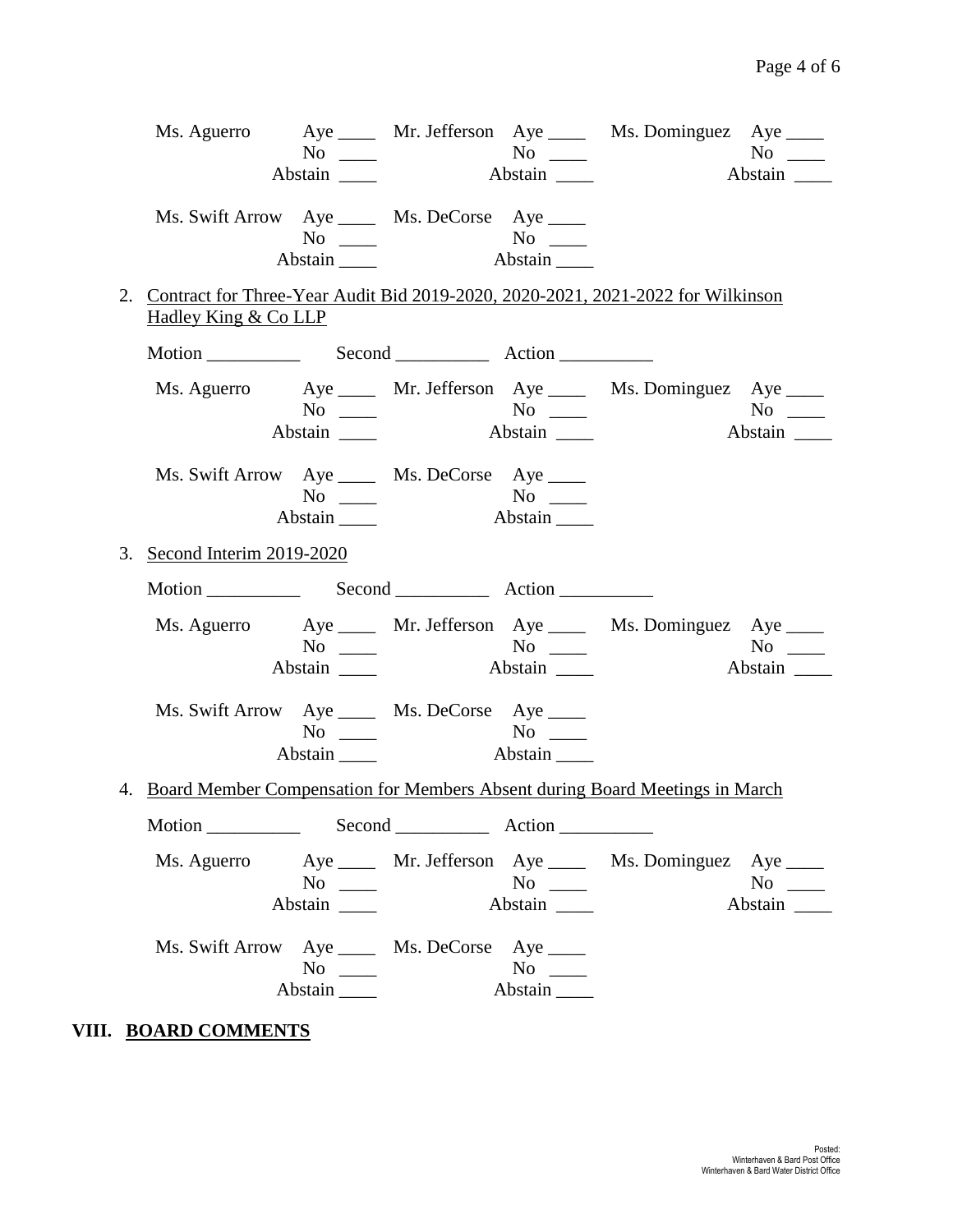| Ms. Aguerro                 |                                                                        | $No \tImes$ No $No \tImes$         |                      | Aye ______ Mr. Jefferson Aye _____ Ms. Dominguez Aye _____                         | $\overline{N_0}$     |
|-----------------------------|------------------------------------------------------------------------|------------------------------------|----------------------|------------------------------------------------------------------------------------|----------------------|
|                             | Abstain                                                                |                                    | Abstain              |                                                                                    | Abstain              |
|                             | Ms. Swift Arrow Aye _____ Ms. DeCorse Aye ____                         |                                    |                      |                                                                                    |                      |
|                             |                                                                        |                                    |                      |                                                                                    |                      |
| Hadley King & Co LLP        |                                                                        |                                    |                      | 2. Contract for Three-Year Audit Bid 2019-2020, 2020-2021, 2021-2022 for Wilkinson |                      |
|                             |                                                                        |                                    |                      |                                                                                    |                      |
|                             |                                                                        | $No \tcong No \tcong No \tcong No$ |                      | Ms. Aguerro Aye _____ Mr. Jefferson Aye _____ Ms. Dominguez Aye ____               |                      |
|                             |                                                                        |                                    | Abstain              |                                                                                    | Abstain              |
|                             | Ms. Swift Arrow Aye _____ Ms. DeCorse Aye ____<br>$No \_$<br>Abstain   |                                    | Abstain              |                                                                                    |                      |
| 3. Second Interim 2019-2020 |                                                                        |                                    |                      |                                                                                    |                      |
|                             |                                                                        |                                    |                      |                                                                                    |                      |
|                             |                                                                        |                                    |                      |                                                                                    |                      |
|                             |                                                                        |                                    |                      | Ms. Aguerro Aye _____ Mr. Jefferson Aye _____ Ms. Dominguez Aye ____               |                      |
|                             | $No \t —$                                                              |                                    | Abstain              |                                                                                    | $No \_$<br>Abstain   |
|                             | Ms. Swift Arrow Aye _____ Ms. DeCorse Aye ____<br>$No \t —$<br>Abstain | No<br>Abstain                      |                      |                                                                                    |                      |
|                             |                                                                        |                                    |                      | 4. Board Member Compensation for Members Absent during Board Meetings in March     |                      |
|                             |                                                                        |                                    |                      |                                                                                    |                      |
| Ms. Aguerro                 | $No \ \_$                                                              |                                    | $No \_\_$            | Aye _____ Mr. Jefferson Aye ____ Ms. Dominguez Aye ____                            | $No \ \_$<br>Abstain |
|                             | Ms. Swift Arrow Aye _____ Ms. DeCorse Aye ____<br>$No \ \_$<br>Abstain |                                    | $No \ \_$<br>Abstain |                                                                                    |                      |

## **VIII. BOARD COMMENTS**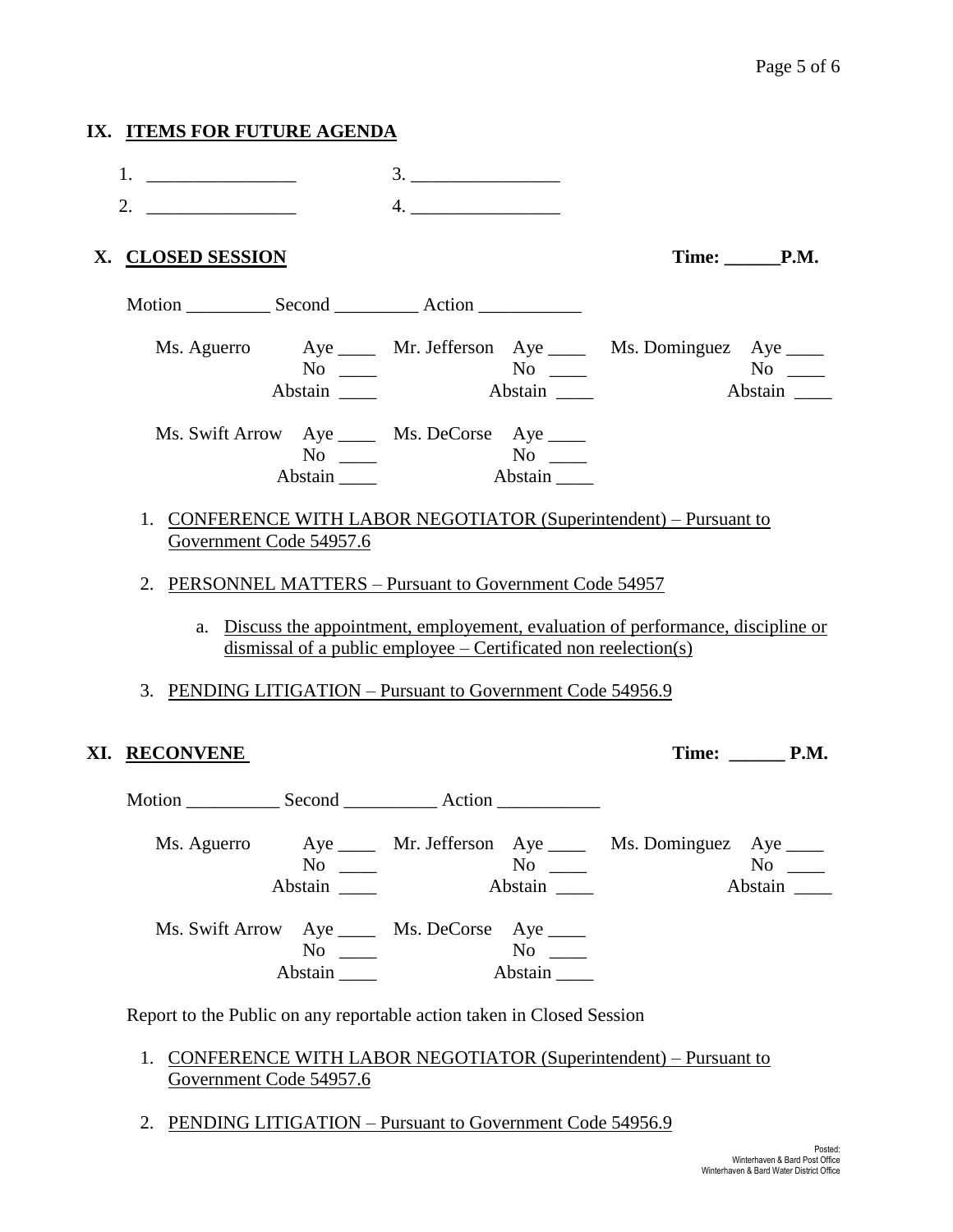# **IX. ITEMS FOR FUTURE AGENDA**   $1.$   $3.$   $3.$ 2.  $\frac{1}{2}$  4.  $\frac{1}{2}$  4.  $\frac{1}{2}$  4.  $\frac{1}{2}$  4.  $\frac{1}{2}$  4.  $\frac{1}{2}$  4.  $\frac{1}{2}$  4.  $\frac{1}{2}$  4.  $\frac{1}{2}$  4.  $\frac{1}{2}$  4.  $\frac{1}{2}$  4.  $\frac{1}{2}$  4.  $\frac{1}{2}$  4.  $\frac{1}{2}$  4.  $\frac{1}{2}$  4.  $\frac{1}{2}$  4.  $\frac{1}{2}$  **X. CLOSED SESSION Time: \_\_\_\_\_\_P.M.** Motion Second Action Ms. Aguerro Aye \_\_\_\_ Mr. Jefferson Aye \_\_\_\_ Ms. Dominguez Aye \_\_\_\_ No \_\_\_\_ No \_\_\_ No \_\_ No \_\_ Abstain \_\_\_\_ Abstain \_\_\_ Abstain \_\_\_ Abstain \_\_\_ Ms. Swift Arrow Aye \_\_\_\_ Ms. DeCorse Aye \_\_\_\_ No \_\_\_\_ No \_\_\_ Abstain \_\_\_\_\_ Abstain \_\_\_\_ 1. CONFERENCE WITH LABOR NEGOTIATOR (Superintendent) – Pursuant to Government Code 54957.6 2. PERSONNEL MATTERS – Pursuant to Government Code 54957 a. Discuss the appointment, employement, evaluation of performance, discipline or dismissal of a public employee – Certificated non reelection(s) 3. PENDING LITIGATION – Pursuant to Government Code 54956.9 **XI.** RECONVENE Time: P.M. Motion Second Action **Action** Ms. Aguerro Aye Mr. Jefferson Aye Ms. Dominguez Aye Ms. Dominguez Aye Ms. Dominguez Aye Mo No \_\_\_\_ No \_\_\_ No \_\_ No \_\_ Abstain \_\_\_\_ Abstain \_\_\_ Abstain \_\_\_ Abstain \_\_\_ Ms. Swift Arrow Aye \_\_\_\_ Ms. DeCorse Aye \_\_\_\_ No \_\_\_\_ No \_\_\_ Abstain \_\_\_\_\_ Abstain \_\_\_\_

Report to the Public on any reportable action taken in Closed Session

- 1. CONFERENCE WITH LABOR NEGOTIATOR (Superintendent) Pursuant to Government Code 54957.6
- 2. PENDING LITIGATION Pursuant to Government Code 54956.9